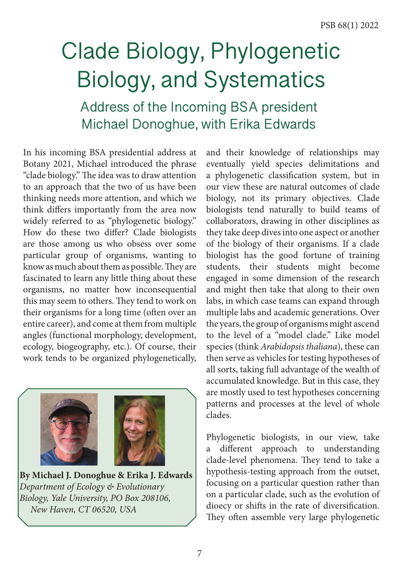# Clade Biology, Phylogenetic Biology, and Systematics

Address of the Incoming BSA president Michael Donoghue, with Erika Edwards

In his incoming BSA presidential address at Botany 2021, Michael introduced the phrase "clade biology." The idea was to draw attention to an approach that the two of us have been thinking needs more attention, and which we think difers importantly from the area now widely referred to as "phylogenetic biology." How do these two difer? Clade biologists are those among us who obsess over some particular group of organisms, wanting to know as much about them as possible. They are fascinated to learn any little thing about these organisms, no matter how inconsequential this may seem to others. They tend to work on their organisms for a long time (often over an entire career), and come at them from multiple angles (functional morphology, development, ecology, biogeography, etc.). Of course, their work tends to be organized phylogenetically,



**By Michael J. Donoghue & Erika J. Edwards** *Department of Ecology & Evolutionary Biology, Yale University, PO Box 208106, New Haven, CT 06520, USA*

and their knowledge of relationships may eventually yield species delimitations and a phylogenetic classifcation system, but in our view these are natural outcomes of clade biology, not its primary objectives. Clade biologists tend naturally to build teams of collaborators, drawing in other disciplines as they take deep dives into one aspect or another of the biology of their organisms. If a clade biologist has the good fortune of training students, their students might become engaged in some dimension of the research and might then take that along to their own labs, in which case teams can expand through multiple labs and academic generations. Over the years, the group of organisms might ascend to the level of a "model clade." Like model species (think *Arabidopsis thaliana*), these can then serve as vehicles for testing hypotheses of all sorts, taking full advantage of the wealth of accumulated knowledge. But in this case, they are mostly used to test hypotheses concerning patterns and processes at the level of whole clades.

Phylogenetic biologists, in our view, take a diferent approach to understanding clade-level phenomena. They tend to take a hypothesis-testing approach from the outset, focusing on a particular question rather than on a particular clade, such as the evolution of dioecy or shifs in the rate of diversifcation. They often assemble very large phylogenetic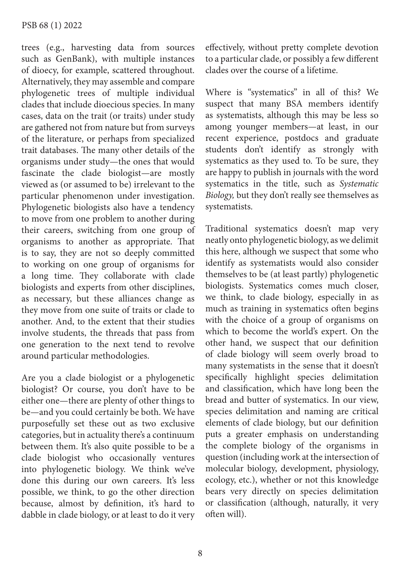#### PSB 68 (1) 2022

trees (e.g., harvesting data from sources such as GenBank), with multiple instances of dioecy, for example, scattered throughout. Alternatively, they may assemble and compare phylogenetic trees of multiple individual clades that include dioecious species. In many cases, data on the trait (or traits) under study are gathered not from nature but from surveys of the literature, or perhaps from specialized trait databases. The many other details of the organisms under study—the ones that would fascinate the clade biologist—are mostly viewed as (or assumed to be) irrelevant to the particular phenomenon under investigation. Phylogenetic biologists also have a tendency to move from one problem to another during their careers, switching from one group of organisms to another as appropriate. That is to say, they are not so deeply committed to working on one group of organisms for a long time. They collaborate with clade biologists and experts from other disciplines, as necessary, but these alliances change as they move from one suite of traits or clade to another. And, to the extent that their studies involve students, the threads that pass from one generation to the next tend to revolve around particular methodologies.

Are you a clade biologist or a phylogenetic biologist? Or course, you don't have to be either one—there are plenty of other things to be—and you could certainly be both. We have purposefully set these out as two exclusive categories, but in actuality there's a continuum between them. It's also quite possible to be a clade biologist who occasionally ventures into phylogenetic biology. We think we've done this during our own careers. It's less possible, we think, to go the other direction because, almost by defnition, it's hard to dabble in clade biology, or at least to do it very efectively, without pretty complete devotion to a particular clade, or possibly a few diferent clades over the course of a lifetime.

Where is "systematics" in all of this? We suspect that many BSA members identify as systematists, although this may be less so among younger members—at least, in our recent experience, postdocs and graduate students don't identify as strongly with systematics as they used to. To be sure, they are happy to publish in journals with the word systematics in the title, such as *Systematic Biology,* but they don't really see themselves as systematists.

Traditional systematics doesn't map very neatly onto phylogenetic biology, as we delimit this here, although we suspect that some who identify as systematists would also consider themselves to be (at least partly) phylogenetic biologists. Systematics comes much closer, we think, to clade biology, especially in as much as training in systematics often begins with the choice of a group of organisms on which to become the world's expert. On the other hand, we suspect that our defnition of clade biology will seem overly broad to many systematists in the sense that it doesn't specifcally highlight species delimitation and classifcation, which have long been the bread and butter of systematics. In our view, species delimitation and naming are critical elements of clade biology, but our defnition puts a greater emphasis on understanding the complete biology of the organisms in question (including work at the intersection of molecular biology, development, physiology, ecology, etc.), whether or not this knowledge bears very directly on species delimitation or classifcation (although, naturally, it very often will).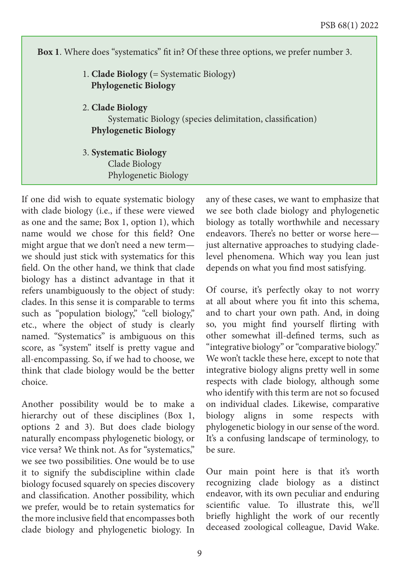**Box 1**. Where does "systematics" ft in? Of these three options, we prefer number 3. 1. **Clade Biology (**= Systematic Biology**) Phylogenetic Biology** 2. **Clade Biology** Systematic Biology (species delimitation, classifcation) **Phylogenetic Biology**  3. **Systematic Biology** Clade Biology Phylogenetic Biology

If one did wish to equate systematic biology with clade biology (i.e., if these were viewed as one and the same; Box 1, option 1), which name would we chose for this feld? One might argue that we don't need a new term we should just stick with systematics for this feld. On the other hand, we think that clade biology has a distinct advantage in that it refers unambiguously to the object of study: clades. In this sense it is comparable to terms such as "population biology," "cell biology," etc., where the object of study is clearly named. "Systematics" is ambiguous on this score, as "system" itself is pretty vague and all-encompassing. So, if we had to choose, we think that clade biology would be the better choice.

Another possibility would be to make a hierarchy out of these disciplines (Box 1, options 2 and 3). But does clade biology naturally encompass phylogenetic biology, or vice versa? We think not. As for "systematics," we see two possibilities. One would be to use it to signify the subdiscipline within clade biology focused squarely on species discovery and classifcation. Another possibility, which we prefer, would be to retain systematics for the more inclusive feld that encompasses both clade biology and phylogenetic biology. In any of these cases, we want to emphasize that we see both clade biology and phylogenetic biology as totally worthwhile and necessary endeavors. There's no better or worse herejust alternative approaches to studying cladelevel phenomena. Which way you lean just depends on what you fnd most satisfying.

Of course, it's perfectly okay to not worry at all about where you ft into this schema, and to chart your own path. And, in doing so, you might fnd yourself firting with other somewhat ill-defned terms, such as "integrative biology" or "comparative biology." We won't tackle these here, except to note that integrative biology aligns pretty well in some respects with clade biology, although some who identify with this term are not so focused on individual clades. Likewise, comparative biology aligns in some respects with phylogenetic biology in our sense of the word. It's a confusing landscape of terminology, to be sure.

Our main point here is that it's worth recognizing clade biology as a distinct endeavor, with its own peculiar and enduring scientifc value. To illustrate this, we'll briefy highlight the work of our recently deceased zoological colleague, David Wake.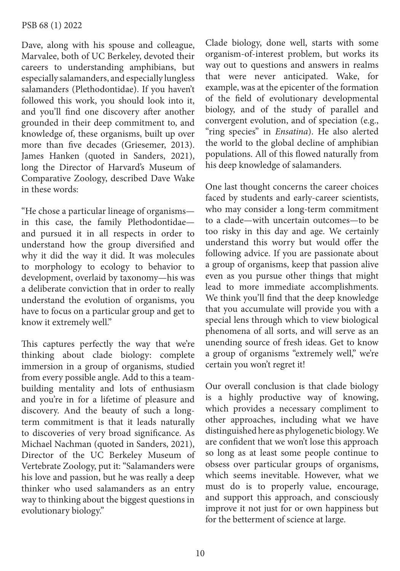### PSB 68 (1) 2022

Dave, along with his spouse and colleague, Marvalee, both of UC Berkeley, devoted their careers to understanding amphibians, but especially salamanders, and especially lungless salamanders (Plethodontidae). If you haven't followed this work, you should look into it, and you'll find one discovery after another grounded in their deep commitment to, and knowledge of, these organisms, built up over more than fve decades (Griesemer, 2013). James Hanken (quoted in Sanders, 2021), long the Director of Harvard's Museum of Comparative Zoology, described Dave Wake in these words:

"He chose a particular lineage of organisms in this case, the family Plethodontidae and pursued it in all respects in order to understand how the group diversifed and why it did the way it did. It was molecules to morphology to ecology to behavior to development, overlaid by taxonomy—his was a deliberate conviction that in order to really understand the evolution of organisms, you have to focus on a particular group and get to know it extremely well."

This captures perfectly the way that we're thinking about clade biology: complete immersion in a group of organisms, studied from every possible angle. Add to this a teambuilding mentality and lots of enthusiasm and you're in for a lifetime of pleasure and discovery. And the beauty of such a longterm commitment is that it leads naturally to discoveries of very broad signifcance. As Michael Nachman (quoted in Sanders, 2021), Director of the UC Berkeley Museum of Vertebrate Zoology, put it: "Salamanders were his love and passion, but he was really a deep thinker who used salamanders as an entry way to thinking about the biggest questions in evolutionary biology."

Clade biology, done well, starts with some organism-of-interest problem, but works its way out to questions and answers in realms that were never anticipated. Wake, for example, was at the epicenter of the formation of the feld of evolutionary developmental biology, and of the study of parallel and convergent evolution, and of speciation (e.g., "ring species" in *Ensatina*). He also alerted the world to the global decline of amphibian populations. All of this fowed naturally from his deep knowledge of salamanders.

One last thought concerns the career choices faced by students and early-career scientists, who may consider a long-term commitment to a clade—with uncertain outcomes—to be too risky in this day and age. We certainly understand this worry but would offer the following advice. If you are passionate about a group of organisms, keep that passion alive even as you pursue other things that might lead to more immediate accomplishments. We think you'll fnd that the deep knowledge that you accumulate will provide you with a special lens through which to view biological phenomena of all sorts, and will serve as an unending source of fresh ideas. Get to know a group of organisms "extremely well," we're certain you won't regret it!

Our overall conclusion is that clade biology is a highly productive way of knowing, which provides a necessary compliment to other approaches, including what we have distinguished here as phylogenetic biology. We are confdent that we won't lose this approach so long as at least some people continue to obsess over particular groups of organisms, which seems inevitable. However, what we must do is to properly value, encourage, and support this approach, and consciously improve it not just for or own happiness but for the betterment of science at large.